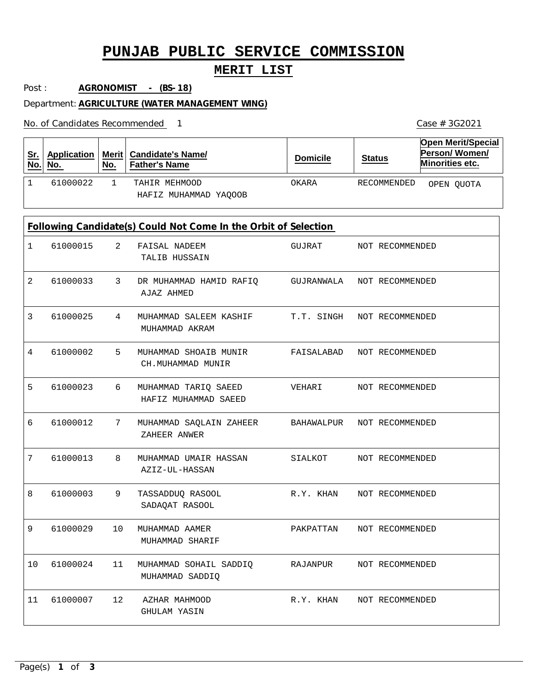# **PUNJAB PUBLIC SERVICE COMMISSION**

### **MERIT LIST**

Post : **AGRONOMIST - (BS-18)**

Department: **AGRICULTURE (WATER MANAGEMENT WING)**

No. of Candidates Recommended

1 TAHIR MEHMOOD 1 61000022 OKARA RECOMMENDED HAFIZ MUHAMMAD YAQOOB **Sr. No. Application No. Merit Candidate's Name/ No. Father's Name Domicile Status Open Merit/Special Person/ Women/ Minorities etc.** 2 3 4 5 6 7 8 9 10 11 MUHAMMAD SOHAIL SADDIQ 12 FAISAL NADEEM DR MUHAMMAD HAMID RAFIQ MUHAMMAD SALEEM KASHIF MUHAMMAD SHOAIB MUNIR MUHAMMAD TARIQ SAEED MUHAMMAD SAQLAIN ZAHEER MUHAMMAD UMAIR HASSAN TASSADDUQ RASOOL MUHAMMAD AAMER AZHAR MAHMOOD TALIB HUSSAIN AJAZ AHMED MUHAMMAD AKRAM CH.MUHAMMAD MUNIR HAFIZ MUHAMMAD SAEED ZAHEER ANWER AZIZ-UL-HASSAN SADAQAT RASOOL MUHAMMAD SHARIF MUHAMMAD SADDIQ GHULAM YASIN 1 2 3 4 5 6 7 8 9 10 61000024 11 61000015 61000033 61000025 61000002 61000023 61000012 61000013 61000003 61000029 61000007 GUJRAT GUJRANWALA T.T. SINGH FAISALABAD NOT RECOMMENDED VEHARI BAHAWALPUR SIALKOT R.Y. KHAN PAKPATTAN RAJANPUR R.Y. KHAN NOT RECOMMENDED NOT RECOMMENDED NOT RECOMMENDED NOT RECOMMENDED NOT RECOMMENDED NOT RECOMMENDED NOT RECOMMENDED NOT RECOMMENDED NOT RECOMMENDED NOT RECOMMENDED **Following Candidate(s) Could Not Come In the Orbit of Selection** OPEN QUOTA

1 Case # 3G2021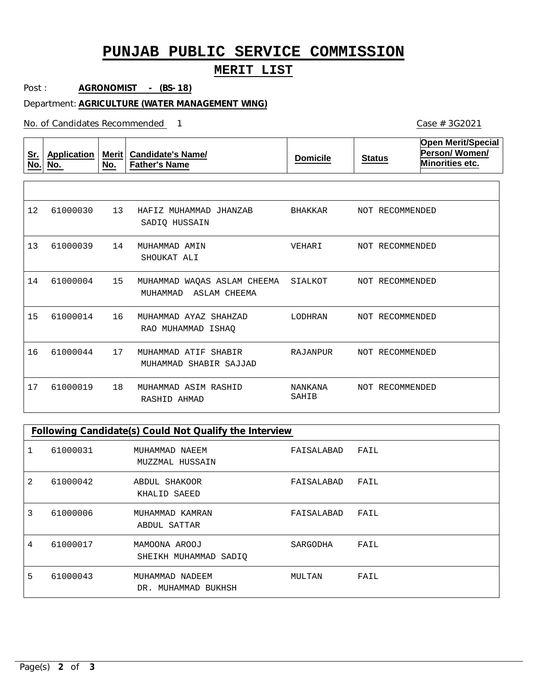# **PUNJAB PUBLIC SERVICE COMMISSION**

### **MERIT LIST**

Post : **AGRONOMIST - (BS-18)**

Department: **AGRICULTURE (WATER MANAGEMENT WING)**

No. of Candidates Recommended

| <u>Sr.</u><br>No. | <b>Application</b><br>No. | Merit<br>No. | <b>Candidate's Name/</b><br><b>Father's Name</b>        | <b>Domicile</b>  | <b>Status</b>   | <b>Open Merit/Special</b><br>Person/Women/<br>Minorities etc. |
|-------------------|---------------------------|--------------|---------------------------------------------------------|------------------|-----------------|---------------------------------------------------------------|
|                   |                           |              |                                                         |                  |                 |                                                               |
| 12                | 61000030                  | 13           | HAFIZ MUHAMMAD JHANZAB<br>SADIO HUSSAIN                 | BHAKKAR          | NOT RECOMMENDED |                                                               |
| 13                | 61000039                  | 14           | MUHAMMAD AMIN<br>SHOUKAT ALI                            | VEHARI           | NOT RECOMMENDED |                                                               |
| 14                | 61000004                  | 15           | MUHAMMAD WAQAS ASLAM CHEEMA<br>MUHAMMAD<br>ASLAM CHEEMA | SIALKOT          | NOT RECOMMENDED |                                                               |
| 15                | 61000014                  | 16           | MUHAMMAD AYAZ SHAHZAD<br>RAO MUHAMMAD ISHAO             | LODHRAN          | NOT RECOMMENDED |                                                               |
| 16                | 61000044                  | 17           | MUHAMMAD ATIF SHABIR<br>MUHAMMAD SHABIR SAJJAD          | RAJANPUR         | NOT RECOMMENDED |                                                               |
| 17                | 61000019                  | 18           | MUHAMMAD ASIM RASHID<br>RASHID AHMAD                    | NANKANA<br>SAHIB | NOT RECOMMENDED |                                                               |

### **Following Candidate(s) Could Not Qualify the Interview**

|   | 61000031 | MUHAMMAD NAEEM<br>MUZZMAL HUSSAIN         | FAISALABAD | FAIL |
|---|----------|-------------------------------------------|------------|------|
| 2 | 61000042 | ABDUL SHAKOOR<br>KHALID SAEED             | FAISALABAD | FAIL |
| 3 | 61000006 | MUHAMMAD KAMRAN<br>ABDUL SATTAR           | FAISALABAD | FAIL |
| 4 | 61000017 | MAMOONA AROOJ<br>SHEIKH MUHAMMAD SADIO    | SARGODHA   | FAIL |
| 5 | 61000043 | MUHAMMAD NADEEM<br>MUHAMMAD BUKHSH<br>DR. | MULTAN     | FAIL |

1 Case # 3G2021